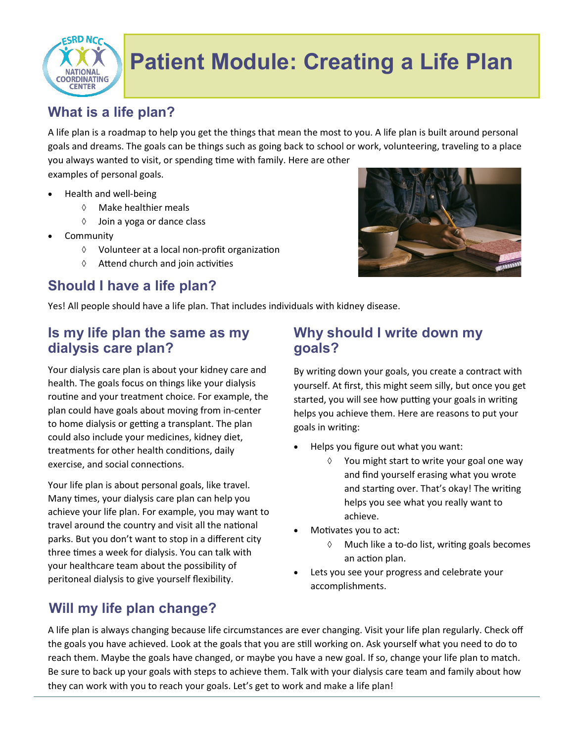

# **Patient Module: Creating a Life Plan**

# **What is a life plan?**

A life plan is a roadmap to help you get the things that mean the most to you. A life plan is built around personal goals and dreams. The goals can be things such as going back to school or work, volunteering, traveling to a place you always wanted to visit, or spending time with family. Here are other

examples of personal goals.

- Health and well-being
	- $\Diamond$  Make healthier meals
	- $\Diamond$  Join a yoga or dance class
- **Community** 
	- $\Diamond$  Volunteer at a local non-profit organization
	- $\Diamond$  Attend church and join activities



### **Should I have a life plan?**

Yes! All people should have a life plan. That includes individuals with kidney disease.

#### **Is my life plan the same as my dialysis care plan?**

Your dialysis care plan is about your kidney care and health. The goals focus on things like your dialysis routine and your treatment choice. For example, the plan could have goals about moving from in-center to home dialysis or getting a transplant. The plan could also include your medicines, kidney diet, treatments for other health conditions, daily exercise, and social connections.

Your life plan is about personal goals, like travel. Many times, your dialysis care plan can help you achieve your life plan. For example, you may want to travel around the country and visit all the national parks. But you don't want to stop in a different city three times a week for dialysis. You can talk with your healthcare team about the possibility of peritoneal dialysis to give yourself flexibility.

# **Will my life plan change?**

#### **Why should I write down my goals?**

By writing down your goals, you create a contract with yourself. At first, this might seem silly, but once you get started, you will see how putting your goals in writing helps you achieve them. Here are reasons to put your goals in writing:

- Helps you figure out what you want:
	- $\Diamond$  You might start to write your goal one way and find yourself erasing what you wrote and starting over. That's okay! The writing helps you see what you really want to achieve.
- Motivates you to act:
	- $\Diamond$  Much like a to-do list, writing goals becomes an action plan.
- Lets you see your progress and celebrate your accomplishments.

A life plan is always changing because life circumstances are ever changing. Visit your life plan regularly. Check off the goals you have achieved. Look at the goals that you are still working on. Ask yourself what you need to do to reach them. Maybe the goals have changed, or maybe you have a new goal. If so, change your life plan to match. Be sure to back up your goals with steps to achieve them. Talk with your dialysis care team and family about how they can work with you to reach your goals. Let's get to work and make a life plan!